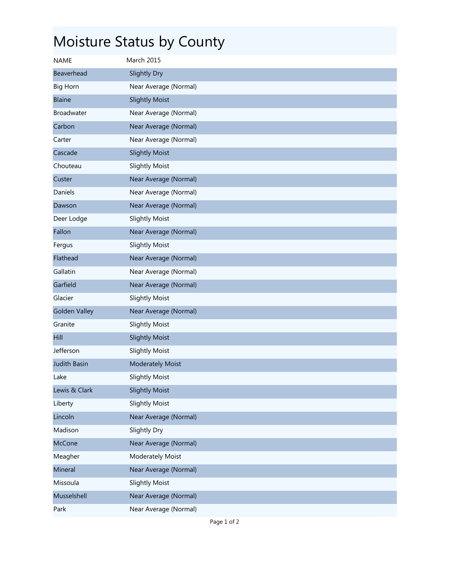## Moisture Status by County

| <b>NAME</b>          | March 2015              |
|----------------------|-------------------------|
| <b>Beaverhead</b>    | Slightly Dry            |
| <b>Big Horn</b>      | Near Average (Normal)   |
| <b>Blaine</b>        | <b>Slightly Moist</b>   |
| Broadwater           | Near Average (Normal)   |
| Carbon               | Near Average (Normal)   |
| Carter               | Near Average (Normal)   |
| Cascade              | <b>Slightly Moist</b>   |
| Chouteau             | <b>Slightly Moist</b>   |
| Custer               | Near Average (Normal)   |
| Daniels              | Near Average (Normal)   |
| Dawson               | Near Average (Normal)   |
| Deer Lodge           | <b>Slightly Moist</b>   |
| Fallon               | Near Average (Normal)   |
| Fergus               | <b>Slightly Moist</b>   |
| Flathead             | Near Average (Normal)   |
| Gallatin             | Near Average (Normal)   |
| Garfield             | Near Average (Normal)   |
| Glacier              | <b>Slightly Moist</b>   |
| <b>Golden Valley</b> | Near Average (Normal)   |
| Granite              | <b>Slightly Moist</b>   |
| Hill                 | <b>Slightly Moist</b>   |
| Jefferson            | <b>Slightly Moist</b>   |
| <b>Judith Basin</b>  | <b>Moderately Moist</b> |
| Lake                 | <b>Slightly Moist</b>   |
| Lewis & Clark        | <b>Slightly Moist</b>   |
| Liberty              | <b>Slightly Moist</b>   |
| Lincoln              | Near Average (Normal)   |
| Madison              | Slightly Dry            |
| <b>McCone</b>        | Near Average (Normal)   |
| Meagher              | Moderately Moist        |
| Mineral              | Near Average (Normal)   |
| Missoula             | <b>Slightly Moist</b>   |
| Musselshell          | Near Average (Normal)   |
| Park                 | Near Average (Normal)   |